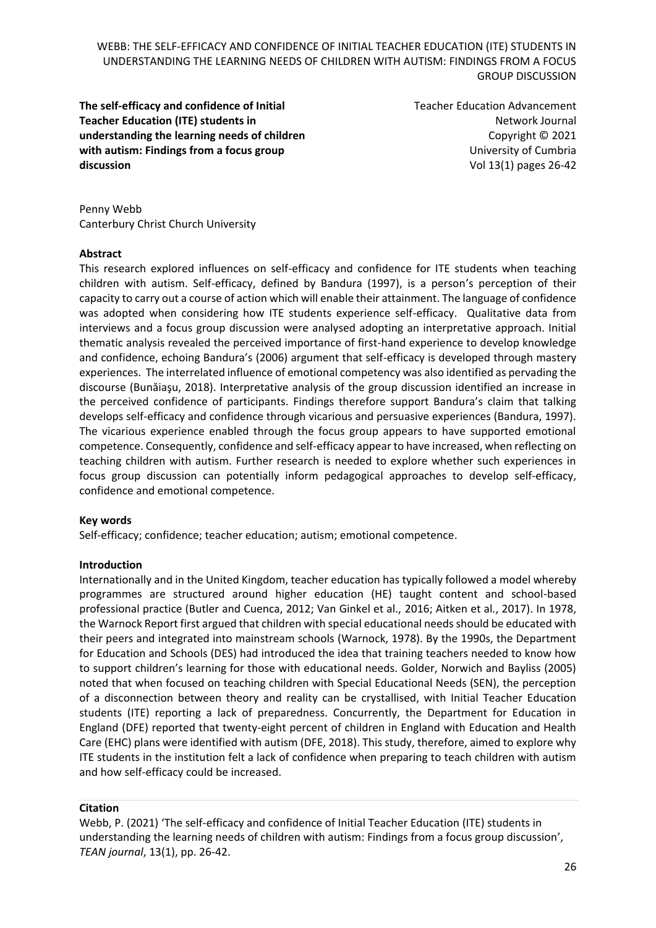**The self-efficacy and confidence of Initial Teacher Education (ITE) students in understanding the learning needs of children with autism: Findings from a focus group discussion**

Teacher Education Advancement Network Journal Copyright © 2021 University of Cumbria Vol 13(1) pages 26-42

Penny Webb Canterbury Christ Church University

#### **Abstract**

This research explored influences on self-efficacy and confidence for ITE students when teaching children with autism. Self-efficacy, defined by Bandura (1997), is a person's perception of their capacity to carry out a course of action which will enable their attainment. The language of confidence was adopted when considering how ITE students experience self-efficacy. Qualitative data from interviews and a focus group discussion were analysed adopting an interpretative approach. Initial thematic analysis revealed the perceived importance of first-hand experience to develop knowledge and confidence, echoing Bandura's (2006) argument that self-efficacy is developed through mastery experiences. The interrelated influence of emotional competency was also identified as pervading the discourse (Bunăiaşu, 2018). Interpretative analysis of the group discussion identified an increase in the perceived confidence of participants. Findings therefore support Bandura's claim that talking develops self-efficacy and confidence through vicarious and persuasive experiences (Bandura, 1997). The vicarious experience enabled through the focus group appears to have supported emotional competence. Consequently, confidence and self-efficacy appear to have increased, when reflecting on teaching children with autism. Further research is needed to explore whether such experiences in focus group discussion can potentially inform pedagogical approaches to develop self-efficacy, confidence and emotional competence.

#### **Key words**

Self-efficacy; confidence; teacher education; autism; emotional competence.

#### **Introduction**

Internationally and in the United Kingdom, teacher education has typically followed a model whereby programmes are structured around higher education (HE) taught content and school-based professional practice (Butler and Cuenca, 2012; Van Ginkel et al., 2016; Aitken et al*.*, 2017). In 1978, the Warnock Report first argued that children with special educational needs should be educated with their peers and integrated into mainstream schools (Warnock, 1978). By the 1990s, the Department for Education and Schools (DES) had introduced the idea that training teachers needed to know how to support children's learning for those with educational needs. Golder, Norwich and Bayliss (2005) noted that when focused on teaching children with Special Educational Needs (SEN), the perception of a disconnection between theory and reality can be crystallised, with Initial Teacher Education students (ITE) reporting a lack of preparedness. Concurrently, the Department for Education in England (DFE) reported that twenty-eight percent of children in England with Education and Health Care (EHC) plans were identified with autism (DFE, 2018). This study, therefore, aimed to explore why ITE students in the institution felt a lack of confidence when preparing to teach children with autism and how self-efficacy could be increased.

#### **Citation**

Webb, P. (2021) 'The self-efficacy and confidence of Initial Teacher Education (ITE) students in understanding the learning needs of children with autism: Findings from a focus group discussion', *TEAN journal*, 13(1), pp. 26-42.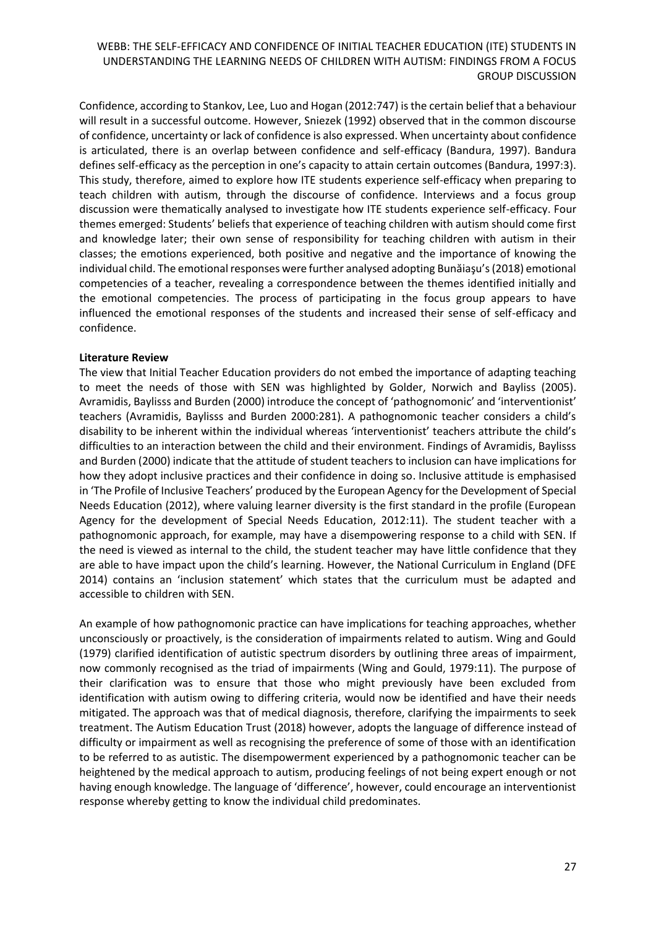Confidence, according to Stankov, Lee, Luo and Hogan (2012:747) is the certain belief that a behaviour will result in a successful outcome. However, Sniezek (1992) observed that in the common discourse of confidence, uncertainty or lack of confidence is also expressed. When uncertainty about confidence is articulated, there is an overlap between confidence and self-efficacy (Bandura, 1997). Bandura defines self-efficacy as the perception in one's capacity to attain certain outcomes (Bandura, 1997:3). This study, therefore, aimed to explore how ITE students experience self-efficacy when preparing to teach children with autism, through the discourse of confidence. Interviews and a focus group discussion were thematically analysed to investigate how ITE students experience self-efficacy. Four themes emerged: Students' beliefs that experience of teaching children with autism should come first and knowledge later; their own sense of responsibility for teaching children with autism in their classes; the emotions experienced, both positive and negative and the importance of knowing the individual child. The emotional responses were further analysed adopting Bunăiaşu's (2018) emotional competencies of a teacher, revealing a correspondence between the themes identified initially and the emotional competencies. The process of participating in the focus group appears to have influenced the emotional responses of the students and increased their sense of self-efficacy and confidence.

#### **Literature Review**

The view that Initial Teacher Education providers do not embed the importance of adapting teaching to meet the needs of those with SEN was highlighted by Golder, Norwich and Bayliss (2005). Avramidis, Baylisss and Burden (2000) introduce the concept of 'pathognomonic' and 'interventionist' teachers (Avramidis, Baylisss and Burden 2000:281). A pathognomonic teacher considers a child's disability to be inherent within the individual whereas 'interventionist' teachers attribute the child's difficulties to an interaction between the child and their environment. Findings of Avramidis, Baylisss and Burden (2000) indicate that the attitude of student teachers to inclusion can have implications for how they adopt inclusive practices and their confidence in doing so. Inclusive attitude is emphasised in 'The Profile of Inclusive Teachers' produced by the European Agency for the Development of Special Needs Education (2012), where valuing learner diversity is the first standard in the profile (European Agency for the development of Special Needs Education, 2012:11). The student teacher with a pathognomonic approach, for example, may have a disempowering response to a child with SEN. If the need is viewed as internal to the child, the student teacher may have little confidence that they are able to have impact upon the child's learning. However, the National Curriculum in England (DFE 2014) contains an 'inclusion statement' which states that the curriculum must be adapted and accessible to children with SEN.

An example of how pathognomonic practice can have implications for teaching approaches, whether unconsciously or proactively, is the consideration of impairments related to autism. Wing and Gould (1979) clarified identification of autistic spectrum disorders by outlining three areas of impairment, now commonly recognised as the triad of impairments (Wing and Gould, 1979:11). The purpose of their clarification was to ensure that those who might previously have been excluded from identification with autism owing to differing criteria, would now be identified and have their needs mitigated. The approach was that of medical diagnosis, therefore, clarifying the impairments to seek treatment. The Autism Education Trust (2018) however, adopts the language of difference instead of difficulty or impairment as well as recognising the preference of some of those with an identification to be referred to as autistic. The disempowerment experienced by a pathognomonic teacher can be heightened by the medical approach to autism, producing feelings of not being expert enough or not having enough knowledge. The language of 'difference', however, could encourage an interventionist response whereby getting to know the individual child predominates.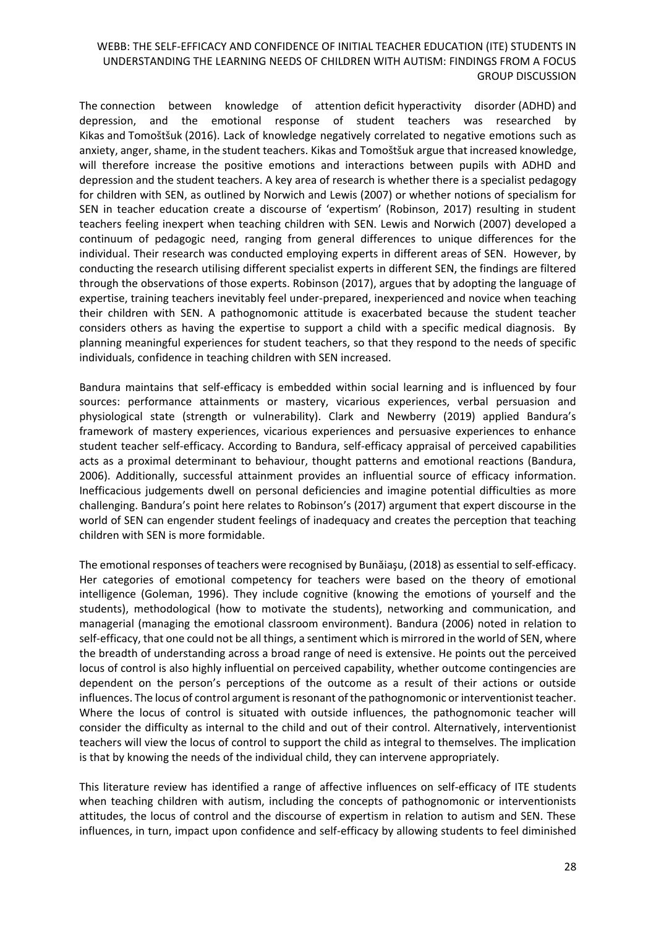The connection between knowledge of attention deficit hyperactivity disorder (ADHD) and depression, and the emotional response of student teachers was researched by Kikas and Tomoštšuk (2016). Lack of knowledge negatively correlated to negative emotions such as anxiety, anger, shame, in the student teachers. Kikas and Tomoštšuk argue that increased knowledge, will therefore increase the positive emotions and interactions between pupils with ADHD and depression and the student teachers. A key area of research is whether there is a specialist pedagogy for children with SEN, as outlined by Norwich and Lewis (2007) or whether notions of specialism for SEN in teacher education create a discourse of 'expertism' (Robinson, 2017) resulting in student teachers feeling inexpert when teaching children with SEN. Lewis and Norwich (2007) developed a continuum of pedagogic need, ranging from general differences to unique differences for the individual. Their research was conducted employing experts in different areas of SEN. However, by conducting the research utilising different specialist experts in different SEN, the findings are filtered through the observations of those experts. Robinson (2017), argues that by adopting the language of expertise, training teachers inevitably feel under-prepared, inexperienced and novice when teaching their children with SEN. A pathognomonic attitude is exacerbated because the student teacher considers others as having the expertise to support a child with a specific medical diagnosis. By planning meaningful experiences for student teachers, so that they respond to the needs of specific individuals, confidence in teaching children with SEN increased.

Bandura maintains that self-efficacy is embedded within social learning and is influenced by four sources: performance attainments or mastery, vicarious experiences, verbal persuasion and physiological state (strength or vulnerability). Clark and Newberry (2019) applied Bandura's framework of mastery experiences, vicarious experiences and persuasive experiences to enhance student teacher self-efficacy. According to Bandura, self-efficacy appraisal of perceived capabilities acts as a proximal determinant to behaviour, thought patterns and emotional reactions (Bandura, 2006). Additionally, successful attainment provides an influential source of efficacy information. Inefficacious judgements dwell on personal deficiencies and imagine potential difficulties as more challenging. Bandura's point here relates to Robinson's (2017) argument that expert discourse in the world of SEN can engender student feelings of inadequacy and creates the perception that teaching children with SEN is more formidable.

The emotional responses of teachers were recognised by Bunăiaşu, (2018) as essential to self-efficacy. Her categories of emotional competency for teachers were based on the theory of emotional intelligence (Goleman, 1996). They include cognitive (knowing the emotions of yourself and the students), methodological (how to motivate the students), networking and communication, and managerial (managing the emotional classroom environment). Bandura (2006) noted in relation to self-efficacy, that one could not be all things, a sentiment which is mirrored in the world of SEN, where the breadth of understanding across a broad range of need is extensive. He points out the perceived locus of control is also highly influential on perceived capability, whether outcome contingencies are dependent on the person's perceptions of the outcome as a result of their actions or outside influences. The locus of control argument is resonant of the pathognomonic or interventionist teacher. Where the locus of control is situated with outside influences, the pathognomonic teacher will consider the difficulty as internal to the child and out of their control. Alternatively, interventionist teachers will view the locus of control to support the child as integral to themselves. The implication is that by knowing the needs of the individual child, they can intervene appropriately.

This literature review has identified a range of affective influences on self-efficacy of ITE students when teaching children with autism, including the concepts of pathognomonic or interventionists attitudes, the locus of control and the discourse of expertism in relation to autism and SEN. These influences, in turn, impact upon confidence and self-efficacy by allowing students to feel diminished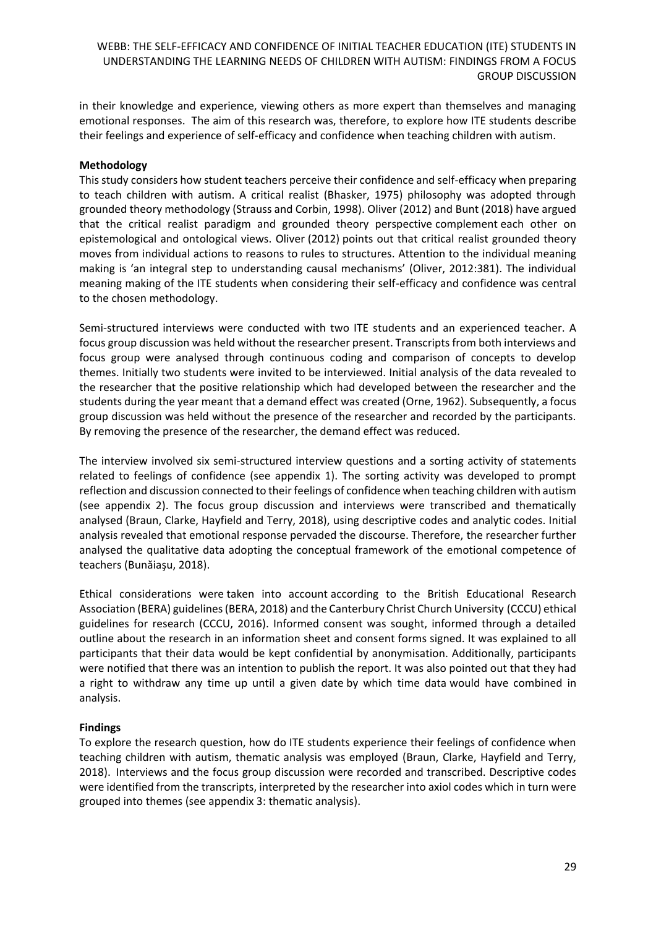in their knowledge and experience, viewing others as more expert than themselves and managing emotional responses. The aim of this research was, therefore, to explore how ITE students describe their feelings and experience of self-efficacy and confidence when teaching children with autism.

### **Methodology**

This study considers how student teachers perceive their confidence and self-efficacy when preparing to teach children with autism. A critical realist (Bhasker, 1975) philosophy was adopted through grounded theory methodology (Strauss and Corbin, 1998). Oliver (2012) and Bunt (2018) have argued that the critical realist paradigm and grounded theory perspective complement each other on epistemological and ontological views. Oliver (2012) points out that critical realist grounded theory moves from individual actions to reasons to rules to structures. Attention to the individual meaning making is 'an integral step to understanding causal mechanisms' (Oliver, 2012:381). The individual meaning making of the ITE students when considering their self-efficacy and confidence was central to the chosen methodology.

Semi-structured interviews were conducted with two ITE students and an experienced teacher. A focus group discussion was held without the researcher present. Transcripts from both interviews and focus group were analysed through continuous coding and comparison of concepts to develop themes. Initially two students were invited to be interviewed. Initial analysis of the data revealed to the researcher that the positive relationship which had developed between the researcher and the students during the year meant that a demand effect was created (Orne, 1962). Subsequently, a focus group discussion was held without the presence of the researcher and recorded by the participants. By removing the presence of the researcher, the demand effect was reduced.

The interview involved six semi-structured interview questions and a sorting activity of statements related to feelings of confidence (see appendix 1). The sorting activity was developed to prompt reflection and discussion connected to their feelings of confidence when teaching children with autism (see appendix 2). The focus group discussion and interviews were transcribed and thematically analysed (Braun, Clarke, Hayfield and Terry, 2018), using descriptive codes and analytic codes. Initial analysis revealed that emotional response pervaded the discourse. Therefore, the researcher further analysed the qualitative data adopting the conceptual framework of the emotional competence of teachers (Bunăiaşu, 2018).

Ethical considerations were taken into account according to the British Educational Research Association (BERA) guidelines (BERA, 2018) and the Canterbury Christ Church University (CCCU) ethical guidelines for research (CCCU, 2016). Informed consent was sought, informed through a detailed outline about the research in an information sheet and consent forms signed. It was explained to all participants that their data would be kept confidential by anonymisation. Additionally, participants were notified that there was an intention to publish the report. It was also pointed out that they had a right to withdraw any time up until a given date by which time data would have combined in analysis.

### **Findings**

To explore the research question, how do ITE students experience their feelings of confidence when teaching children with autism, thematic analysis was employed (Braun, Clarke, Hayfield and Terry, 2018). Interviews and the focus group discussion were recorded and transcribed. Descriptive codes were identified from the transcripts, interpreted by the researcher into axiol codes which in turn were grouped into themes (see appendix 3: thematic analysis).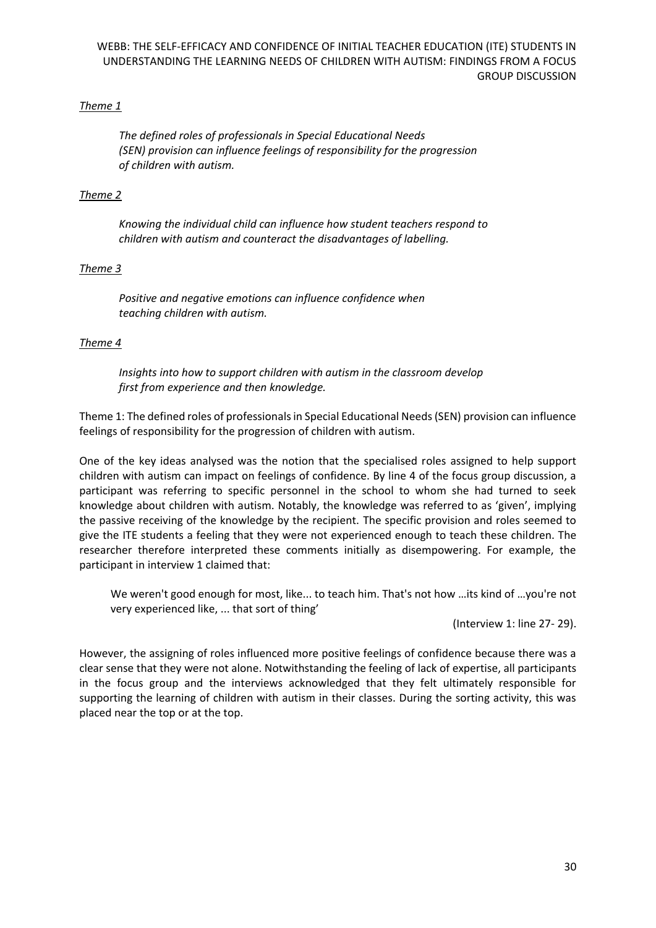## *Theme 1*

*The defined roles of professionals in Special Educational Needs (SEN) provision can influence feelings of responsibility for the progression of children with autism.*

### *Theme 2*

*Knowing the individual child can influence how student teachers respond to children with autism and counteract the disadvantages of labelling.*

### *Theme 3*

*Positive and negative emotions can influence confidence when teaching children with autism.*

### *Theme 4*

*Insights into how to support children with autism in the classroom develop first from experience and then knowledge.*

Theme 1: The defined roles of professionals in Special Educational Needs (SEN) provision can influence feelings of responsibility for the progression of children with autism.

One of the key ideas analysed was the notion that the specialised roles assigned to help support children with autism can impact on feelings of confidence. By line 4 of the focus group discussion, a participant was referring to specific personnel in the school to whom she had turned to seek knowledge about children with autism. Notably, the knowledge was referred to as 'given', implying the passive receiving of the knowledge by the recipient. The specific provision and roles seemed to give the ITE students a feeling that they were not experienced enough to teach these children. The researcher therefore interpreted these comments initially as disempowering. For example, the participant in interview 1 claimed that:

We weren't good enough for most, like... to teach him. That's not how …its kind of …you're not very experienced like, ... that sort of thing'

(Interview 1: line 27- 29).

However, the assigning of roles influenced more positive feelings of confidence because there was a clear sense that they were not alone. Notwithstanding the feeling of lack of expertise, all participants in the focus group and the interviews acknowledged that they felt ultimately responsible for supporting the learning of children with autism in their classes. During the sorting activity, this was placed near the top or at the top.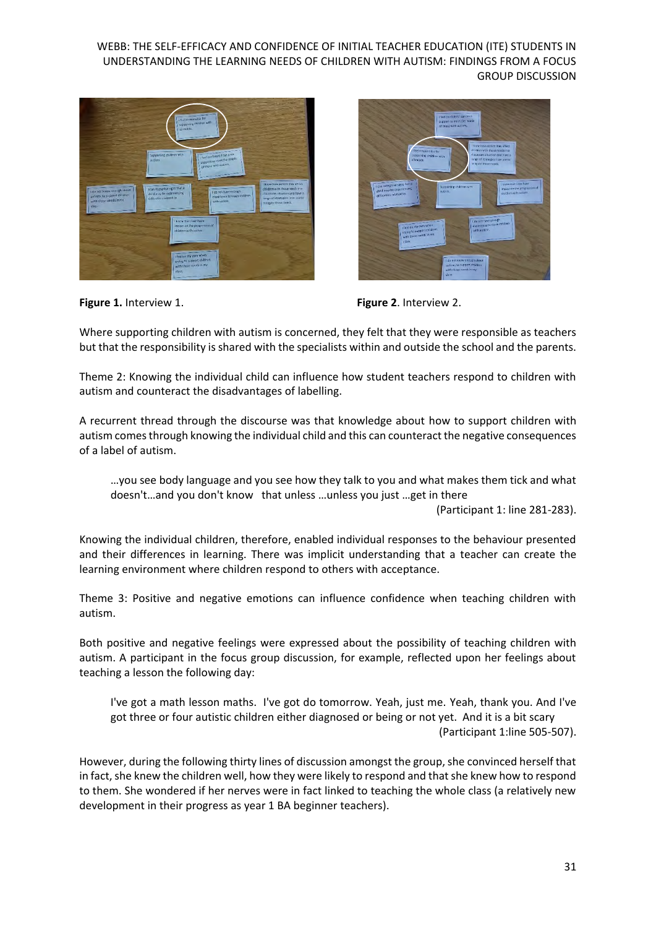



**Figure 1.** Interview 1. **Figure 2.** Interview 2.

Where supporting children with autism is concerned, they felt that they were responsible as teachers but that the responsibility is shared with the specialists within and outside the school and the parents.

Theme 2: Knowing the individual child can influence how student teachers respond to children with autism and counteract the disadvantages of labelling.

A recurrent thread through the discourse was that knowledge about how to support children with autism comes through knowing the individual child and this can counteract the negative consequences of a label of autism.

…you see body language and you see how they talk to you and what makes them tick and what doesn't…and you don't know that unless …unless you just …get in there

(Participant 1: line 281-283).

Knowing the individual children, therefore, enabled individual responses to the behaviour presented and their differences in learning. There was implicit understanding that a teacher can create the learning environment where children respond to others with acceptance.

Theme 3: Positive and negative emotions can influence confidence when teaching children with autism.

Both positive and negative feelings were expressed about the possibility of teaching children with autism. A participant in the focus group discussion, for example, reflected upon her feelings about teaching a lesson the following day:

I've got a math lesson maths. I've got do tomorrow. Yeah, just me. Yeah, thank you. And I've got three or four autistic children either diagnosed or being or not yet. And it is a bit scary (Participant 1:line 505-507).

However, during the following thirty lines of discussion amongst the group, she convinced herself that in fact, she knew the children well, how they were likely to respond and that she knew how to respond to them. She wondered if her nerves were in fact linked to teaching the whole class (a relatively new development in their progress as year 1 BA beginner teachers).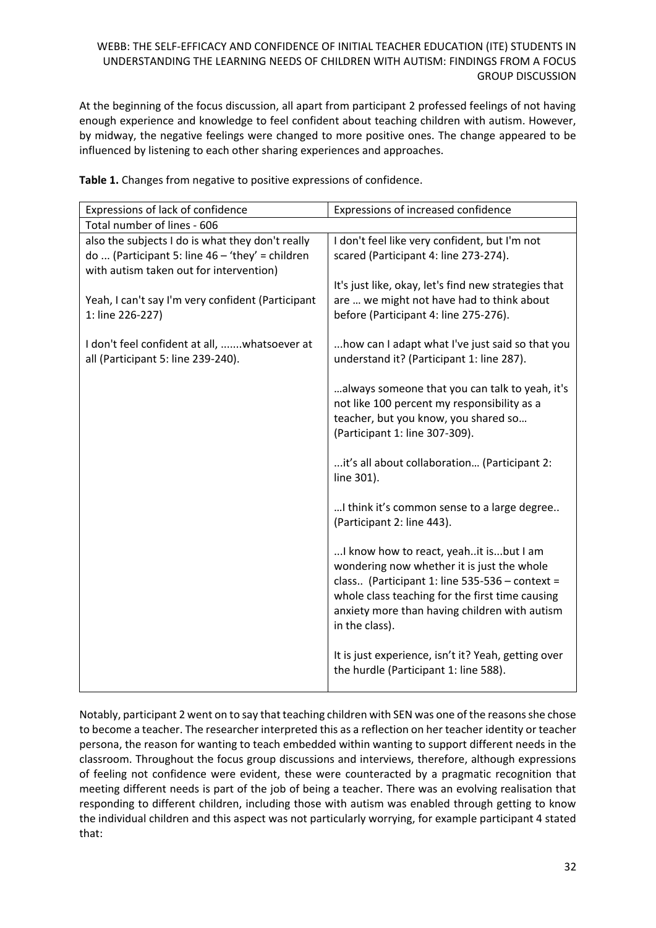At the beginning of the focus discussion, all apart from participant 2 professed feelings of not having enough experience and knowledge to feel confident about teaching children with autism. However, by midway, the negative feelings were changed to more positive ones. The change appeared to be influenced by listening to each other sharing experiences and approaches.

|  |  | Table 1. Changes from negative to positive expressions of confidence. |
|--|--|-----------------------------------------------------------------------|
|--|--|-----------------------------------------------------------------------|

| Expressions of lack of confidence                                                                                                                | Expressions of increased confidence                                                                                                                                                                                                                            |  |
|--------------------------------------------------------------------------------------------------------------------------------------------------|----------------------------------------------------------------------------------------------------------------------------------------------------------------------------------------------------------------------------------------------------------------|--|
| Total number of lines - 606                                                                                                                      |                                                                                                                                                                                                                                                                |  |
| also the subjects I do is what they don't really<br>do  (Participant 5: line $46 - 'they' = children$<br>with autism taken out for intervention) | I don't feel like very confident, but I'm not<br>scared (Participant 4: line 273-274).                                                                                                                                                                         |  |
| Yeah, I can't say I'm very confident (Participant<br>1: line 226-227)                                                                            | It's just like, okay, let's find new strategies that<br>are  we might not have had to think about<br>before (Participant 4: line 275-276).                                                                                                                     |  |
| I don't feel confident at all, whatsoever at<br>all (Participant 5: line 239-240).                                                               | how can I adapt what I've just said so that you<br>understand it? (Participant 1: line 287).                                                                                                                                                                   |  |
|                                                                                                                                                  | always someone that you can talk to yeah, it's<br>not like 100 percent my responsibility as a<br>teacher, but you know, you shared so<br>(Participant 1: line 307-309).                                                                                        |  |
|                                                                                                                                                  | it's all about collaboration (Participant 2:<br>line 301).                                                                                                                                                                                                     |  |
|                                                                                                                                                  | I think it's common sense to a large degree<br>(Participant 2: line 443).                                                                                                                                                                                      |  |
|                                                                                                                                                  | I know how to react, yeah it is but I am<br>wondering now whether it is just the whole<br>class (Participant 1: line 535-536 - context =<br>whole class teaching for the first time causing<br>anxiety more than having children with autism<br>in the class). |  |
|                                                                                                                                                  | It is just experience, isn't it? Yeah, getting over<br>the hurdle (Participant 1: line 588).                                                                                                                                                                   |  |

Notably, participant 2 went on to say that teaching children with SEN was one of the reasons she chose to become a teacher. The researcher interpreted this as a reflection on her teacher identity or teacher persona, the reason for wanting to teach embedded within wanting to support different needs in the classroom. Throughout the focus group discussions and interviews, therefore, although expressions of feeling not confidence were evident, these were counteracted by a pragmatic recognition that meeting different needs is part of the job of being a teacher. There was an evolving realisation that responding to different children, including those with autism was enabled through getting to know the individual children and this aspect was not particularly worrying, for example participant 4 stated that: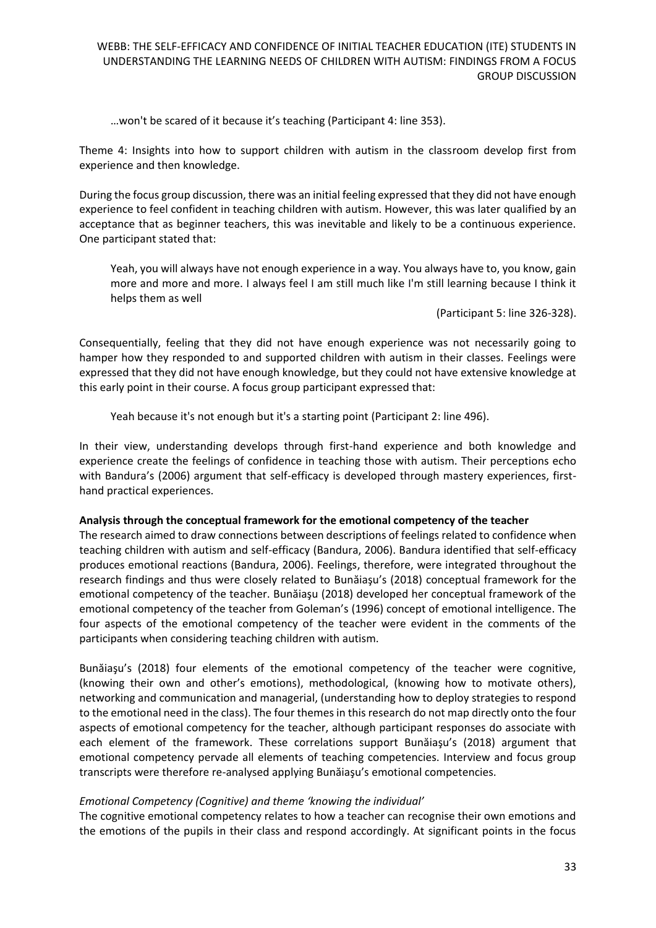…won't be scared of it because it's teaching (Participant 4: line 353).

Theme 4: Insights into how to support children with autism in the classroom develop first from experience and then knowledge.

During the focus group discussion, there was an initial feeling expressed that they did not have enough experience to feel confident in teaching children with autism. However, this was later qualified by an acceptance that as beginner teachers, this was inevitable and likely to be a continuous experience. One participant stated that:

Yeah, you will always have not enough experience in a way. You always have to, you know, gain more and more and more. I always feel I am still much like I'm still learning because I think it helps them as well

(Participant 5: line 326-328).

Consequentially, feeling that they did not have enough experience was not necessarily going to hamper how they responded to and supported children with autism in their classes. Feelings were expressed that they did not have enough knowledge, but they could not have extensive knowledge at this early point in their course. A focus group participant expressed that:

Yeah because it's not enough but it's a starting point (Participant 2: line 496).

In their view, understanding develops through first-hand experience and both knowledge and experience create the feelings of confidence in teaching those with autism. Their perceptions echo with Bandura's (2006) argument that self-efficacy is developed through mastery experiences, firsthand practical experiences.

#### **Analysis through the conceptual framework for the emotional competency of the teacher**

The research aimed to draw connections between descriptions of feelings related to confidence when teaching children with autism and self-efficacy (Bandura, 2006). Bandura identified that self-efficacy produces emotional reactions (Bandura, 2006). Feelings, therefore, were integrated throughout the research findings and thus were closely related to Bunăiaşu's (2018) conceptual framework for the emotional competency of the teacher. Bunăiaşu (2018) developed her conceptual framework of the emotional competency of the teacher from Goleman's (1996) concept of emotional intelligence. The four aspects of the emotional competency of the teacher were evident in the comments of the participants when considering teaching children with autism.

Bunăiaşu's (2018) four elements of the emotional competency of the teacher were cognitive, (knowing their own and other's emotions), methodological, (knowing how to motivate others), networking and communication and managerial, (understanding how to deploy strategies to respond to the emotional need in the class). The four themes in this research do not map directly onto the four aspects of emotional competency for the teacher, although participant responses do associate with each element of the framework. These correlations support Bunăiaşu's (2018) argument that emotional competency pervade all elements of teaching competencies. Interview and focus group transcripts were therefore re-analysed applying Bunăiaşu's emotional competencies.

### *Emotional Competency (Cognitive) and theme 'knowing the individual'*

The cognitive emotional competency relates to how a teacher can recognise their own emotions and the emotions of the pupils in their class and respond accordingly. At significant points in the focus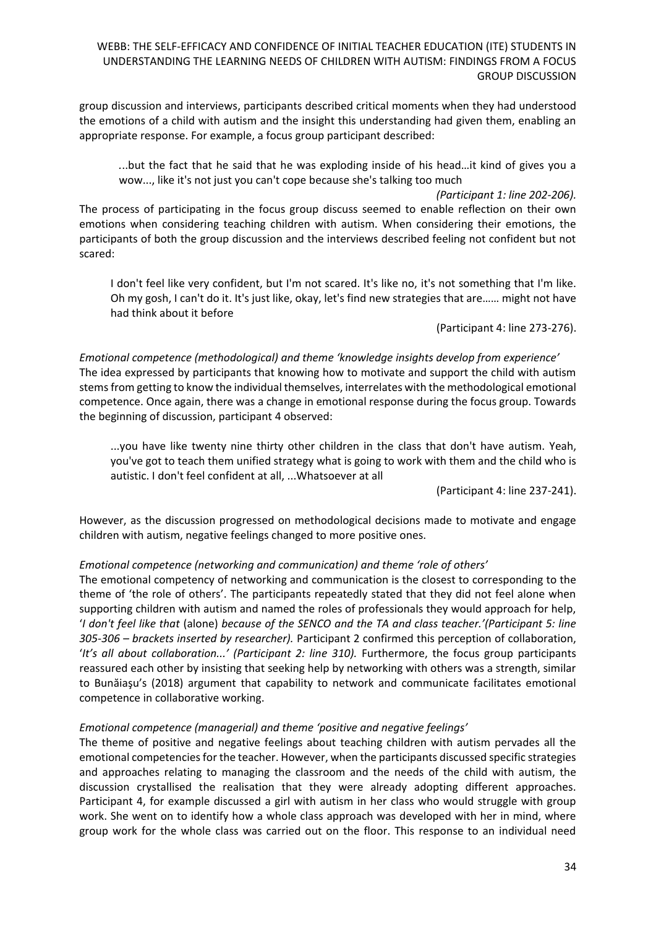group discussion and interviews, participants described critical moments when they had understood the emotions of a child with autism and the insight this understanding had given them, enabling an appropriate response. For example, a focus group participant described:

*.*..but the fact that he said that he was exploding inside of his head…it kind of gives you a wow..., like it's not just you can't cope because she's talking too much

*(Participant 1: line 202-206).*

The process of participating in the focus group discuss seemed to enable reflection on their own emotions when considering teaching children with autism. When considering their emotions, the participants of both the group discussion and the interviews described feeling not confident but not scared:

I don't feel like very confident, but I'm not scared. It's like no, it's not something that I'm like. Oh my gosh, I can't do it. It's just like, okay, let's find new strategies that are…… might not have had think about it before

(Participant 4: line 273-276).

*Emotional competence (methodological) and theme 'knowledge insights develop from experience'* The idea expressed by participants that knowing how to motivate and support the child with autism stems from getting to know the individual themselves, interrelates with the methodological emotional competence. Once again, there was a change in emotional response during the focus group. Towards the beginning of discussion, participant 4 observed:

...you have like twenty nine thirty other children in the class that don't have autism. Yeah, you've got to teach them unified strategy what is going to work with them and the child who is autistic. I don't feel confident at all, ...Whatsoever at all

(Participant 4: line 237-241).

However, as the discussion progressed on methodological decisions made to motivate and engage children with autism, negative feelings changed to more positive ones.

#### *Emotional competence (networking and communication) and theme 'role of others'*

The emotional competency of networking and communication is the closest to corresponding to the theme of 'the role of others'. The participants repeatedly stated that they did not feel alone when supporting children with autism and named the roles of professionals they would approach for help, '*I don't feel like that* (alone) *because of the SENCO and the TA and class teacher.'(Participant 5: line 305-306 – brackets inserted by researcher).* Participant 2 confirmed this perception of collaboration, '*It's all about collaboration...'* (Participant 2: line 310). Furthermore, the focus group participants reassured each other by insisting that seeking help by networking with others was a strength, similar to Bunăiaşu's (2018) argument that capability to network and communicate facilitates emotional competence in collaborative working.

#### *Emotional competence (managerial) and theme 'positive and negative feelings'*

The theme of positive and negative feelings about teaching children with autism pervades all the emotional competencies for the teacher. However, when the participants discussed specific strategies and approaches relating to managing the classroom and the needs of the child with autism, the discussion crystallised the realisation that they were already adopting different approaches. Participant 4, for example discussed a girl with autism in her class who would struggle with group work. She went on to identify how a whole class approach was developed with her in mind, where group work for the whole class was carried out on the floor. This response to an individual need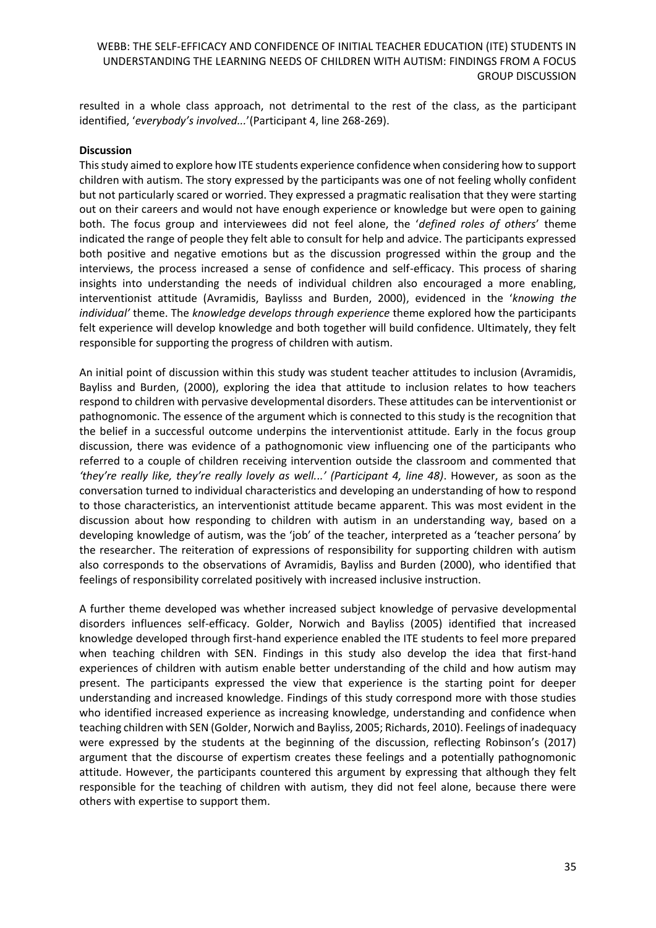resulted in a whole class approach, not detrimental to the rest of the class, as the participant identified, '*everybody's involved...*'(Participant 4, line 268-269).

#### **Discussion**

This study aimed to explore how ITE students experience confidence when considering how to support children with autism. The story expressed by the participants was one of not feeling wholly confident but not particularly scared or worried. They expressed a pragmatic realisation that they were starting out on their careers and would not have enough experience or knowledge but were open to gaining both. The focus group and interviewees did not feel alone, the '*defined roles of others*' theme indicated the range of people they felt able to consult for help and advice. The participants expressed both positive and negative emotions but as the discussion progressed within the group and the interviews, the process increased a sense of confidence and self-efficacy. This process of sharing insights into understanding the needs of individual children also encouraged a more enabling, interventionist attitude (Avramidis, Baylisss and Burden, 2000), evidenced in the '*knowing the individual'* theme. The *knowledge develops through experience* theme explored how the participants felt experience will develop knowledge and both together will build confidence. Ultimately, they felt responsible for supporting the progress of children with autism.

An initial point of discussion within this study was student teacher attitudes to inclusion (Avramidis, Bayliss and Burden, (2000), exploring the idea that attitude to inclusion relates to how teachers respond to children with pervasive developmental disorders. These attitudes can be interventionist or pathognomonic. The essence of the argument which is connected to this study is the recognition that the belief in a successful outcome underpins the interventionist attitude. Early in the focus group discussion, there was evidence of a pathognomonic view influencing one of the participants who referred to a couple of children receiving intervention outside the classroom and commented that *'they're really like, they're really lovely as well...' (Participant 4, line 48)*. However, as soon as the conversation turned to individual characteristics and developing an understanding of how to respond to those characteristics, an interventionist attitude became apparent. This was most evident in the discussion about how responding to children with autism in an understanding way, based on a developing knowledge of autism, was the 'job' of the teacher, interpreted as a 'teacher persona' by the researcher. The reiteration of expressions of responsibility for supporting children with autism also corresponds to the observations of Avramidis, Bayliss and Burden (2000), who identified that feelings of responsibility correlated positively with increased inclusive instruction.

A further theme developed was whether increased subject knowledge of pervasive developmental disorders influences self-efficacy. Golder, Norwich and Bayliss (2005) identified that increased knowledge developed through first-hand experience enabled the ITE students to feel more prepared when teaching children with SEN. Findings in this study also develop the idea that first-hand experiences of children with autism enable better understanding of the child and how autism may present. The participants expressed the view that experience is the starting point for deeper understanding and increased knowledge. Findings of this study correspond more with those studies who identified increased experience as increasing knowledge, understanding and confidence when teaching children with SEN (Golder, Norwich and Bayliss, 2005; Richards, 2010). Feelings of inadequacy were expressed by the students at the beginning of the discussion, reflecting Robinson's (2017) argument that the discourse of expertism creates these feelings and a potentially pathognomonic attitude. However, the participants countered this argument by expressing that although they felt responsible for the teaching of children with autism, they did not feel alone, because there were others with expertise to support them.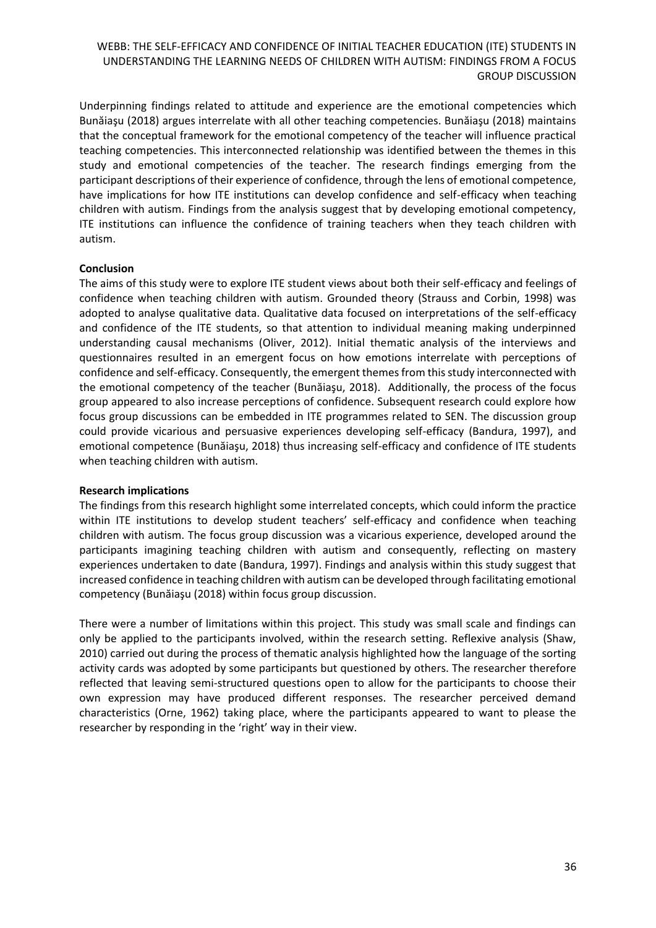Underpinning findings related to attitude and experience are the emotional competencies which Bunăiaşu (2018) argues interrelate with all other teaching competencies. Bunăiaşu (2018) maintains that the conceptual framework for the emotional competency of the teacher will influence practical teaching competencies. This interconnected relationship was identified between the themes in this study and emotional competencies of the teacher. The research findings emerging from the participant descriptions of their experience of confidence, through the lens of emotional competence, have implications for how ITE institutions can develop confidence and self-efficacy when teaching children with autism. Findings from the analysis suggest that by developing emotional competency, ITE institutions can influence the confidence of training teachers when they teach children with autism.

### **Conclusion**

The aims of this study were to explore ITE student views about both their self-efficacy and feelings of confidence when teaching children with autism. Grounded theory (Strauss and Corbin, 1998) was adopted to analyse qualitative data. Qualitative data focused on interpretations of the self-efficacy and confidence of the ITE students, so that attention to individual meaning making underpinned understanding causal mechanisms (Oliver, 2012). Initial thematic analysis of the interviews and questionnaires resulted in an emergent focus on how emotions interrelate with perceptions of confidence and self-efficacy. Consequently, the emergent themes from this study interconnected with the emotional competency of the teacher (Bunăiaşu, 2018). Additionally, the process of the focus group appeared to also increase perceptions of confidence. Subsequent research could explore how focus group discussions can be embedded in ITE programmes related to SEN. The discussion group could provide vicarious and persuasive experiences developing self-efficacy (Bandura, 1997), and emotional competence (Bunăiaşu, 2018) thus increasing self-efficacy and confidence of ITE students when teaching children with autism.

#### **Research implications**

The findings from this research highlight some interrelated concepts, which could inform the practice within ITE institutions to develop student teachers' self-efficacy and confidence when teaching children with autism. The focus group discussion was a vicarious experience, developed around the participants imagining teaching children with autism and consequently, reflecting on mastery experiences undertaken to date (Bandura, 1997). Findings and analysis within this study suggest that increased confidence in teaching children with autism can be developed through facilitating emotional competency (Bunăiaşu (2018) within focus group discussion.

There were a number of limitations within this project. This study was small scale and findings can only be applied to the participants involved, within the research setting. Reflexive analysis (Shaw, 2010) carried out during the process of thematic analysis highlighted how the language of the sorting activity cards was adopted by some participants but questioned by others. The researcher therefore reflected that leaving semi-structured questions open to allow for the participants to choose their own expression may have produced different responses. The researcher perceived demand characteristics (Orne, 1962) taking place, where the participants appeared to want to please the researcher by responding in the 'right' way in their view.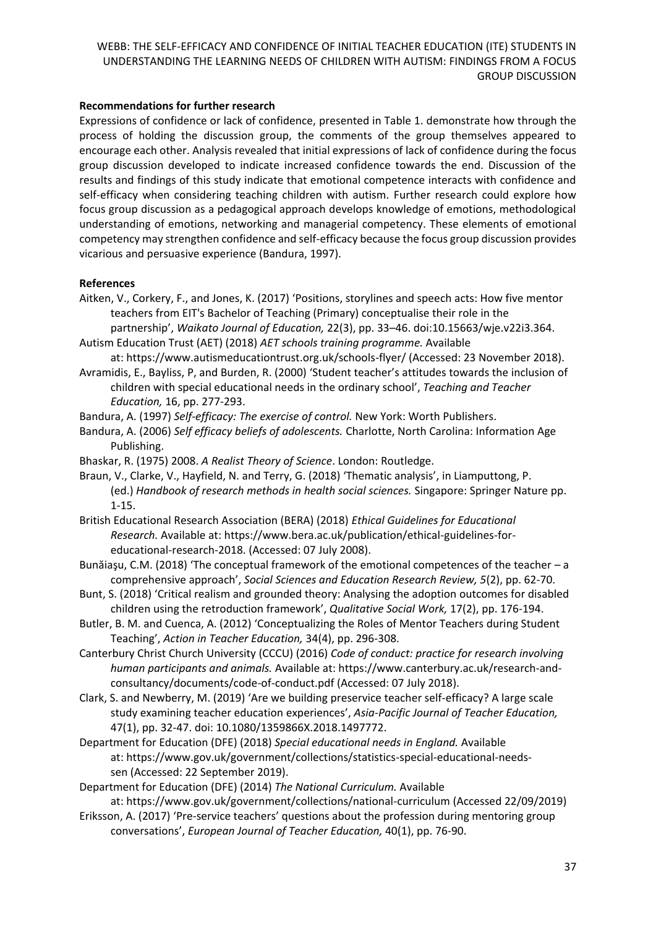### **Recommendations for further research**

Expressions of confidence or lack of confidence, presented in Table 1. demonstrate how through the process of holding the discussion group, the comments of the group themselves appeared to encourage each other. Analysis revealed that initial expressions of lack of confidence during the focus group discussion developed to indicate increased confidence towards the end. Discussion of the results and findings of this study indicate that emotional competence interacts with confidence and self-efficacy when considering teaching children with autism. Further research could explore how focus group discussion as a pedagogical approach develops knowledge of emotions, methodological understanding of emotions, networking and managerial competency. These elements of emotional competency may strengthen confidence and self-efficacy because the focus group discussion provides vicarious and persuasive experience (Bandura, 1997).

#### **References**

Aitken, V., Corkery, F., and Jones, K. (2017) 'Positions, storylines and speech acts: How five mentor teachers from EIT's Bachelor of Teaching (Primary) conceptualise their role in the

partnership', *Waikato Journal of Education,* 22(3), pp. 33–46. doi:10.15663/wje.v22i3.364. Autism Education Trust (AET) (2018) *AET schools training programme.* Available

at: [https://www.autismeducationtrust.org.uk/schools-flyer/](about:blank) (Accessed: 23 November 2018).

- Avramidis, E., Bayliss, P, and Burden, R. (2000) 'Student teacher's attitudes towards the inclusion of children with special educational needs in the ordinary school', *Teaching and Teacher Education,* 16, pp. 277-293.
- Bandura, A. (1997) *Self-efficacy: The exercise of control.* New York: Worth Publishers.
- Bandura, A. (2006) *Self efficacy beliefs of adolescents.* Charlotte, North Carolina: Information Age Publishing.
- Bhaskar, R. (1975) 2008. *A Realist Theory of Science*. London: Routledge.
- Braun, V., Clarke, V., Hayfield, N. and Terry, G. (2018) 'Thematic analysis', in Liamputtong, P. (ed.) *Handbook of research methods in health social sciences.* Singapore: Springer Nature pp. 1-15.

British Educational Research Association (BERA) (2018) *Ethical Guidelines for Educational Research.* Available at: [https://www.bera.ac.uk/publication/ethical-guidelines-for](about:blank)[educational-research-2018.](about:blank) (Accessed: 07 July 2008).

- Bunăiaşu, C.M. (2018) 'The conceptual framework of the emotional competences of the teacher a comprehensive approach', *Social Sciences and Education Research Review, 5*(2), pp. 62-70.
- Bunt, S. (2018) 'Critical realism and grounded theory: Analysing the adoption outcomes for disabled children using the retroduction framework', *Qualitative Social Work,* 17(2), pp. 176-194.
- Butler, B. M. and Cuenca, A. (2012) 'Conceptualizing the Roles of Mentor Teachers during Student Teaching', *Action in Teacher Education,* 34(4), pp. 296-308.
- Canterbury Christ Church University (CCCU) (2016) *Code of conduct: practice for research involving human participants and animals.* Available at: [https://www.canterbury.ac.uk/research-and](about:blank)[consultancy/documents/code-of-conduct.pdf](about:blank) (Accessed: 07 July 2018).
- Clark, S. and Newberry, M. (2019) 'Are we building preservice teacher self-efficacy? A large scale study examining teacher education experiences', *Asia-Pacific Journal of Teacher Education,*  47(1), pp. 32-47. doi: 10.1080/1359866X.2018.1497772.
- Department for Education (DFE) (2018) *Special educational needs in England.* Available at: [https://www.gov.uk/government/collections/statistics-special-educational-needs](about:blank)[sen](about:blank) (Accessed: 22 September 2019).
- Department for Education (DFE) (2014) *The National Curriculum.* Available

at: https://www.gov.uk/government/collections/national-curriculum (Accessed 22/09/2019)

Eriksson, A. (2017) 'Pre-service teachers' questions about the profession during mentoring group conversations', *European Journal of Teacher Education,* 40(1), pp. 76-90.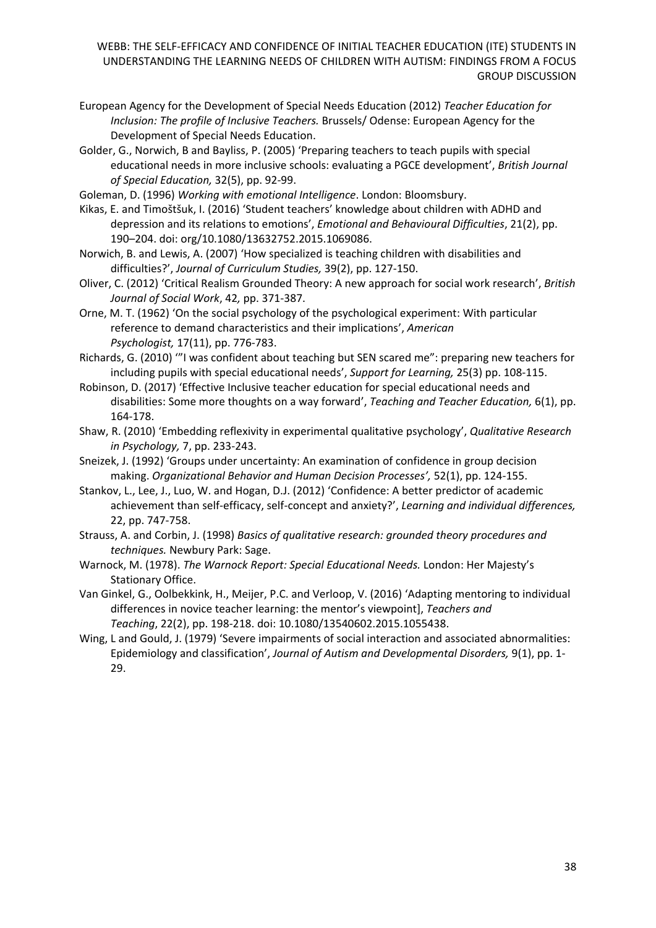- European Agency for the Development of Special Needs Education (2012) *Teacher Education for Inclusion: The profile of Inclusive Teachers.* Brussels/ Odense: European Agency for the Development of Special Needs Education.
- Golder, G., Norwich, B and Bayliss, P. (2005) 'Preparing teachers to teach pupils with special educational needs in more inclusive schools: evaluating a PGCE development', *British Journal of Special Education,* 32(5), pp. 92-99.
- Goleman, D. (1996) *Working with emotional Intelligence*. London: Bloomsbury.
- Kikas, E. and Timoštšuk, I. (2016) 'Student teachers' knowledge about children with ADHD and depression and its relations to emotions', *Emotional and Behavioural Difficulties*, 21(2), pp. 190–204. doi: org/10.1080/13632752.2015.1069086.
- Norwich, B. and Lewis, A. (2007) 'How specialized is teaching children with disabilities and difficulties?', *Journal of Curriculum Studies,* 39(2), pp. 127-150.
- Oliver, C. (2012) 'Critical Realism Grounded Theory: A new approach for social work research', *British Journal of Social Work*, 42*,* pp. 371-387.
- Orne, M. T. (1962) 'On the social psychology of the psychological experiment: With particular reference to demand characteristics and their implications', *American Psychologist,* 17(11), pp. 776-783.
- Richards, G. (2010) '"I was confident about teaching but SEN scared me": preparing new teachers for including pupils with special educational needs', *Support for Learning,* 25(3) pp. 108-115.
- Robinson, D. (2017) 'Effective Inclusive teacher education for special educational needs and disabilities: Some more thoughts on a way forward', *Teaching and Teacher Education,* 6(1), pp. 164-178.
- Shaw, R. (2010) 'Embedding reflexivity in experimental qualitative psychology', *Qualitative Research in Psychology,* 7, pp. 233-243.
- Sneizek, J. (1992) 'Groups under uncertainty: An examination of confidence in group decision making. *Organizational Behavior and Human Decision Processes',* 52(1), pp. 124-155.
- Stankov, L., Lee, J., Luo, W. and Hogan, D.J. (2012) 'Confidence: A better predictor of academic achievement than self-efficacy, self-concept and anxiety?', *Learning and individual differences,*  22, pp. 747-758.
- Strauss, A. and Corbin, J. (1998) *Basics of qualitative research: grounded theory procedures and techniques.* Newbury Park: Sage.
- Warnock, M. (1978). *The Warnock Report: Special Educational Needs.* London: Her Majesty's Stationary Office.
- Van Ginkel, G., Oolbekkink, H., Meijer, P.C. and Verloop, V. (2016) 'Adapting mentoring to individual differences in novice teacher learning: the mentor's viewpoint], *Teachers and Teaching*, 22(2), pp. 198-218. doi: 10.1080/13540602.2015.1055438.
- Wing, L and Gould, J. (1979) 'Severe impairments of social interaction and associated abnormalities: Epidemiology and classification', *Journal of Autism and Developmental Disorders,* 9(1), pp. 1- 29.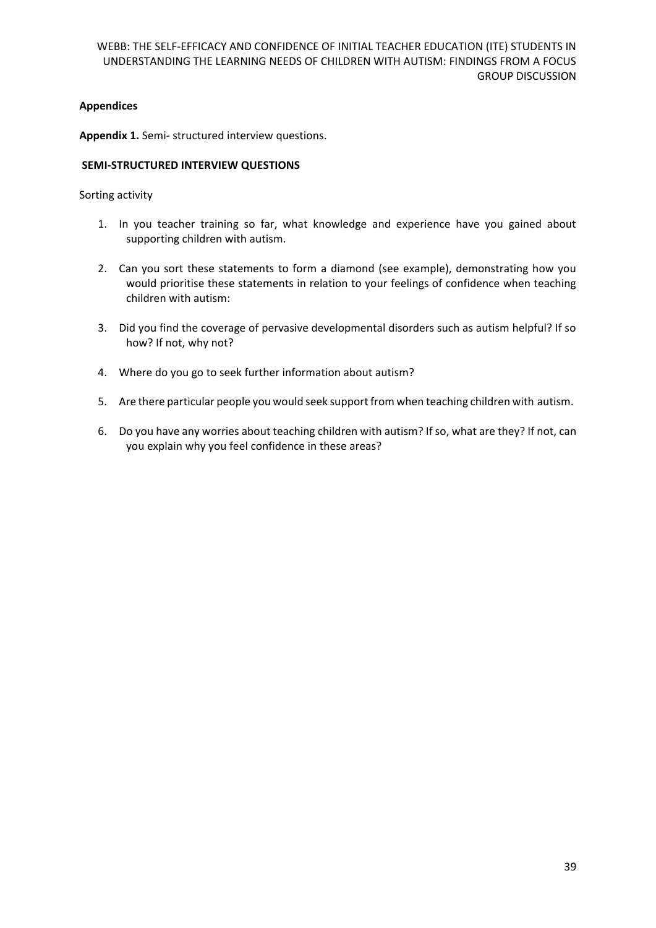### **Appendices**

**Appendix 1.** Semi- structured interview questions.

#### **SEMI-STRUCTURED INTERVIEW QUESTIONS**

Sorting activity

- 1. In you teacher training so far, what knowledge and experience have you gained about supporting children with autism.
- 2. Can you sort these statements to form a diamond (see example), demonstrating how you would prioritise these statements in relation to your feelings of confidence when teaching children with autism:
- 3. Did you find the coverage of pervasive developmental disorders such as autism helpful? If so how? If not, why not?
- 4. Where do you go to seek further information about autism?
- 5. Are there particular people you would seek support from when teaching children with autism.
- 6. Do you have any worries about teaching children with autism? If so, what are they? If not, can you explain why you feel confidence in these areas?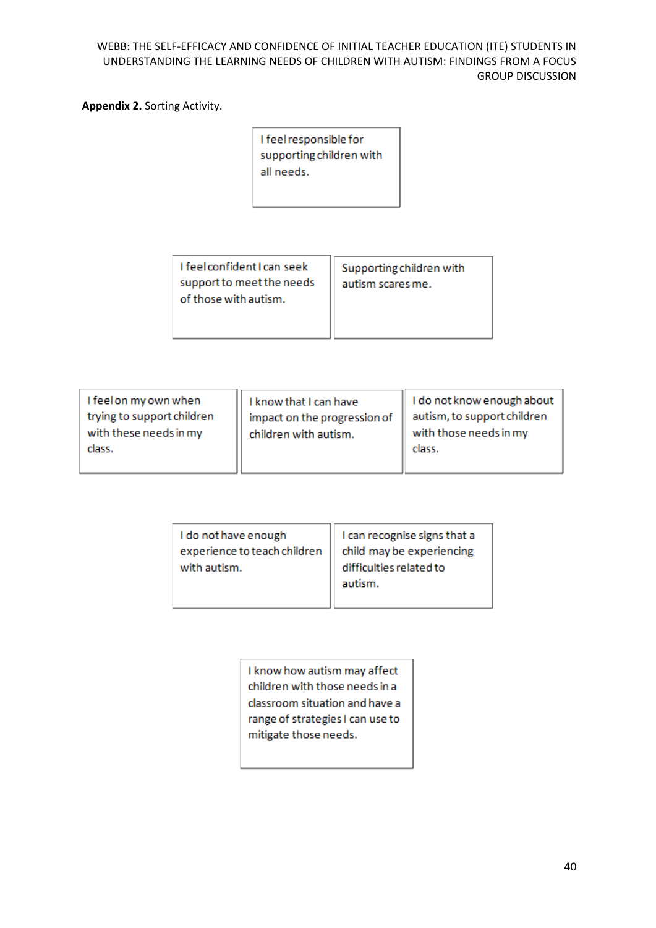**Appendix 2.** Sorting Activity.

| I feel responsible for   |
|--------------------------|
| supporting children with |
| all needs.               |
|                          |

| I feel confident I can seek | Supporting children with |
|-----------------------------|--------------------------|
| support to meet the needs   | autism scares me.        |
| of those with autism.       |                          |
|                             |                          |

| I feel on my own when<br>trying to support children<br>with these needs in my<br>class. | I know that I can have<br>impact on the progression of<br>children with autism. | I do not know enough about  <br>autism, to support children<br>with those needs in my<br>class. |
|-----------------------------------------------------------------------------------------|---------------------------------------------------------------------------------|-------------------------------------------------------------------------------------------------|
|                                                                                         |                                                                                 |                                                                                                 |

| I do not have enough<br>experience to teach children<br>with autism. | I can recognise signs that a<br>child may be experiencing<br>difficulties related to |  |
|----------------------------------------------------------------------|--------------------------------------------------------------------------------------|--|
|                                                                      |                                                                                      |  |
|                                                                      |                                                                                      |  |
|                                                                      | autism.                                                                              |  |
|                                                                      |                                                                                      |  |

I know how autism may affect children with those needs in a classroom situation and have a range of strategies I can use to mitigate those needs.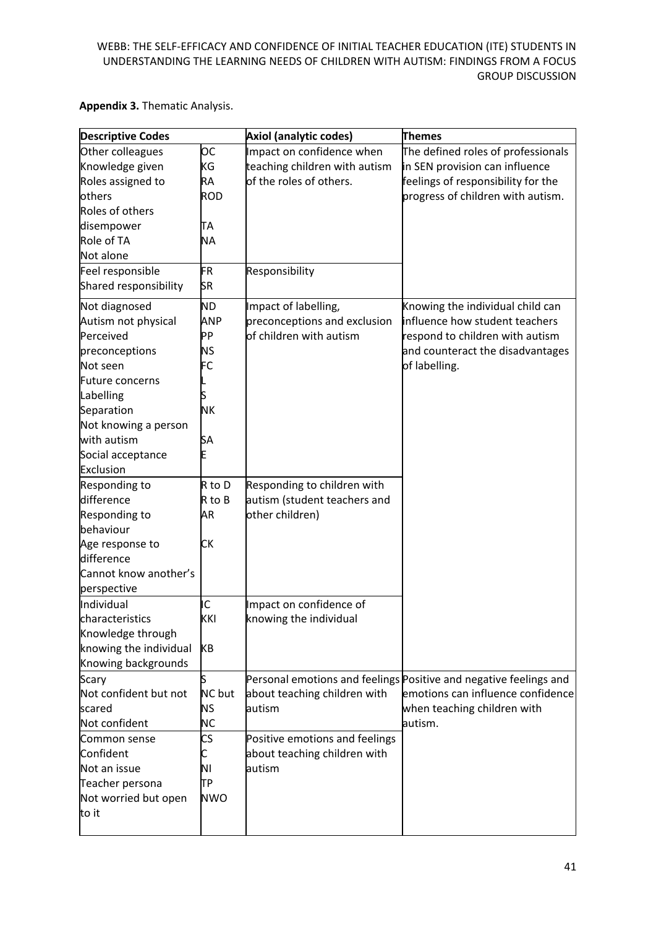## **Appendix 3.** Thematic Analysis.

| <b>Descriptive Codes</b> |            | Axiol (analytic codes)         | <b>Themes</b>                                                     |
|--------------------------|------------|--------------------------------|-------------------------------------------------------------------|
| Other colleagues         | OС         | Impact on confidence when      | The defined roles of professionals                                |
| Knowledge given          | ΚG         | teaching children with autism  | in SEN provision can influence                                    |
| Roles assigned to        | <b>RA</b>  | of the roles of others.        | feelings of responsibility for the                                |
| others                   | <b>ROD</b> |                                | progress of children with autism.                                 |
| Roles of others          |            |                                |                                                                   |
| disempower               | TА         |                                |                                                                   |
| Role of TA               | <b>NA</b>  |                                |                                                                   |
| Not alone                |            |                                |                                                                   |
| Feel responsible         | <b>FR</b>  | Responsibility                 |                                                                   |
| Shared responsibility    | SR         |                                |                                                                   |
| Not diagnosed            | <b>ND</b>  | Impact of labelling,           | Knowing the individual child can                                  |
| Autism not physical      | ANP        | preconceptions and exclusion   | influence how student teachers                                    |
| Perceived                | PP         | of children with autism        | respond to children with autism                                   |
| preconceptions           | <b>NS</b>  |                                | and counteract the disadvantages                                  |
| Not seen                 | FC         |                                | of labelling.                                                     |
| Future concerns          |            |                                |                                                                   |
| Labelling                |            |                                |                                                                   |
| Separation               | <b>NK</b>  |                                |                                                                   |
| Not knowing a person     |            |                                |                                                                   |
| with autism              | SA         |                                |                                                                   |
| Social acceptance        | E          |                                |                                                                   |
| Exclusion                |            |                                |                                                                   |
| Responding to            | $R$ to $D$ | Responding to children with    |                                                                   |
| difference               | R to B     | autism (student teachers and   |                                                                   |
| <b>Responding to</b>     | AR         | other children)                |                                                                   |
| behaviour                |            |                                |                                                                   |
| Age response to          | СK         |                                |                                                                   |
| difference               |            |                                |                                                                   |
| Cannot know another's    |            |                                |                                                                   |
| perspective              |            |                                |                                                                   |
| Individual               | IC         | Impact on confidence of        |                                                                   |
| characteristics          | KKI        | knowing the individual         |                                                                   |
| Knowledge through        |            |                                |                                                                   |
| knowing the individual   | KB         |                                |                                                                   |
| Knowing backgrounds      |            |                                |                                                                   |
| Scary                    | S          |                                | Personal emotions and feelings Positive and negative feelings and |
| Not confident but not    | NC but     | about teaching children with   | emotions can influence confidence                                 |
| scared                   | <b>NS</b>  | autism                         | when teaching children with                                       |
| Not confident            | <b>NC</b>  |                                | autism.                                                           |
| Common sense             | CS         | Positive emotions and feelings |                                                                   |
| Confident                | L          | about teaching children with   |                                                                   |
| Not an issue             | ΝI         | lautism                        |                                                                   |
| Teacher persona          | TР         |                                |                                                                   |
| Not worried but open     | <b>NWO</b> |                                |                                                                   |
| to it                    |            |                                |                                                                   |
|                          |            |                                |                                                                   |